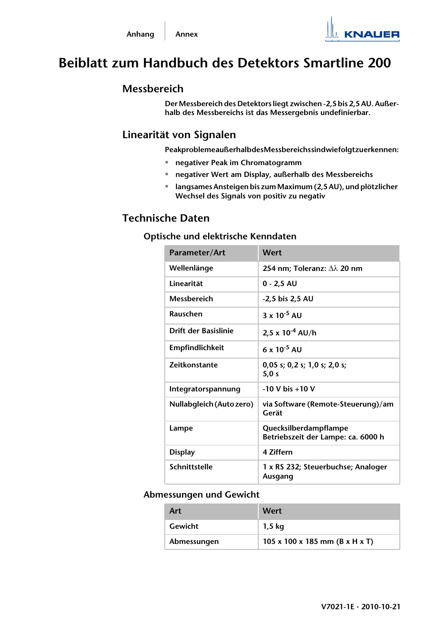# **Beiblatt zum Handbuch des Detektors Smartline 200**

## **Messbereich**

**Der Messbereich des Detektors liegt zwischen -2,5 bis 2,5 AU. Außerhalb des Messbereichs ist das Messergebnis undefinierbar.**

## **Linearität von Signalen**

**Peakprobleme außerhalb des Messbereichs sind wie folgt zu erkennen:**

- **negativer Peak im Chromatogramm**
- **negativer Wert am Display, außerhalb des Messbereichs**
- **langsames Ansteigen bis zum Maximum (2,5 AU), und plötzlicher Wechsel des Signals von positiv zu negativ**

# **Technische Daten**

### **Optische und elektrische Kenndaten**

| Parameter/Art               | Wert                                                        |
|-----------------------------|-------------------------------------------------------------|
| Wellenlänge                 | 254 nm; Toleranz: Δλ 20 nm                                  |
| I inearität                 | $0 - 2.5$ AU                                                |
| <b>Messbereich</b>          | -2,5 bis 2,5 AU                                             |
| Rauschen                    | $3 \times 10^{-5}$ AU                                       |
| <b>Drift der Basislinie</b> | $2.5 \times 10^{-4}$ AU/h                                   |
| <b>Empfindlichkeit</b>      | $6 \times 10^{-5}$ AU                                       |
| <b>Zeitkonstante</b>        | $0,05$ s; $0,2$ s; $1,0$ s; $2,0$ s;<br>5,0 s               |
| Integratorspannung          | $-10$ V bis $+10$ V                                         |
| Nullabgleich (Auto zero)    | via Software (Remote-Steuerung)/am<br>Gerät                 |
| Lampe                       | Quecksilberdampflampe<br>Betriebszeit der Lampe: ca. 6000 h |
| <b>Display</b>              | 4 Ziffern                                                   |
| Schnittstelle               | 1 x RS 232; Steuerbuchse; Analoger<br>Ausgang               |

#### **Abmessungen und Gewicht**

| Art         | Wert                                         |
|-------------|----------------------------------------------|
| Gewicht     | 1,5 kg                                       |
| Abmessungen | 105 x 100 x 185 mm ( $B \times H \times T$ ) |